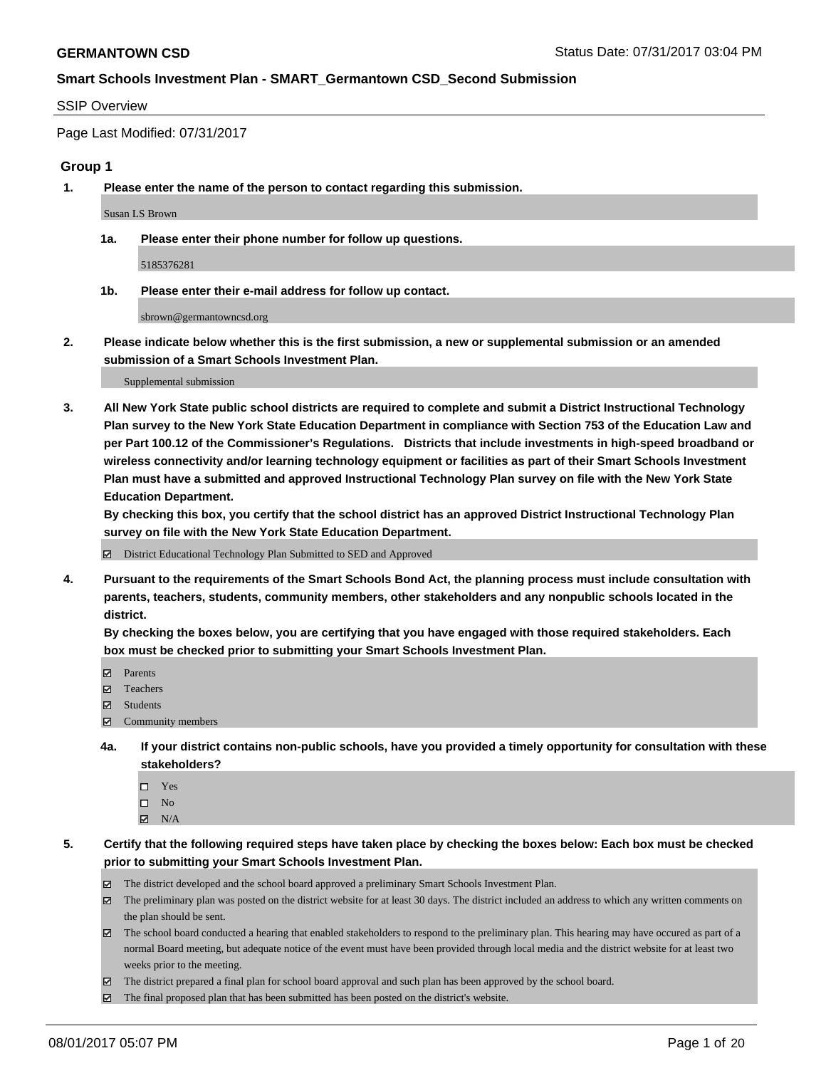#### SSIP Overview

Page Last Modified: 07/31/2017

### **Group 1**

**1. Please enter the name of the person to contact regarding this submission.**

Susan LS Brown

**1a. Please enter their phone number for follow up questions.**

5185376281

**1b. Please enter their e-mail address for follow up contact.**

sbrown@germantowncsd.org

**2. Please indicate below whether this is the first submission, a new or supplemental submission or an amended submission of a Smart Schools Investment Plan.**

Supplemental submission

**3. All New York State public school districts are required to complete and submit a District Instructional Technology Plan survey to the New York State Education Department in compliance with Section 753 of the Education Law and per Part 100.12 of the Commissioner's Regulations. Districts that include investments in high-speed broadband or wireless connectivity and/or learning technology equipment or facilities as part of their Smart Schools Investment Plan must have a submitted and approved Instructional Technology Plan survey on file with the New York State Education Department.** 

**By checking this box, you certify that the school district has an approved District Instructional Technology Plan survey on file with the New York State Education Department.**

District Educational Technology Plan Submitted to SED and Approved

**4. Pursuant to the requirements of the Smart Schools Bond Act, the planning process must include consultation with parents, teachers, students, community members, other stakeholders and any nonpublic schools located in the district.** 

**By checking the boxes below, you are certifying that you have engaged with those required stakeholders. Each box must be checked prior to submitting your Smart Schools Investment Plan.**

- **マ** Parents
- **□** Teachers
- Students
- $\Xi$  Community members
- **4a. If your district contains non-public schools, have you provided a timely opportunity for consultation with these stakeholders?**
	- Yes
	- $\hfill \square$  No
	- $\boxtimes$  N/A
- **5. Certify that the following required steps have taken place by checking the boxes below: Each box must be checked prior to submitting your Smart Schools Investment Plan.**
	- The district developed and the school board approved a preliminary Smart Schools Investment Plan.
	- $\boxtimes$  The preliminary plan was posted on the district website for at least 30 days. The district included an address to which any written comments on the plan should be sent.
	- $\boxtimes$  The school board conducted a hearing that enabled stakeholders to respond to the preliminary plan. This hearing may have occured as part of a normal Board meeting, but adequate notice of the event must have been provided through local media and the district website for at least two weeks prior to the meeting.
	- The district prepared a final plan for school board approval and such plan has been approved by the school board.
	- The final proposed plan that has been submitted has been posted on the district's website.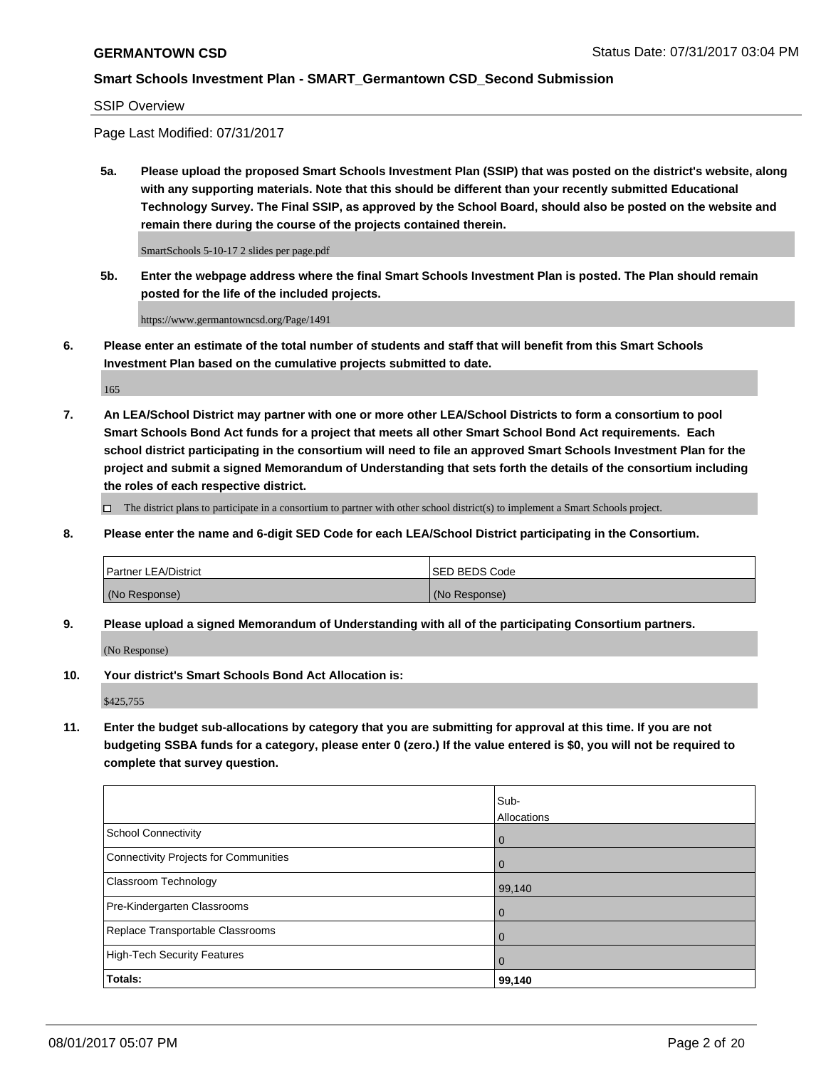#### SSIP Overview

Page Last Modified: 07/31/2017

**5a. Please upload the proposed Smart Schools Investment Plan (SSIP) that was posted on the district's website, along with any supporting materials. Note that this should be different than your recently submitted Educational Technology Survey. The Final SSIP, as approved by the School Board, should also be posted on the website and remain there during the course of the projects contained therein.**

SmartSchools 5-10-17 2 slides per page.pdf

**5b. Enter the webpage address where the final Smart Schools Investment Plan is posted. The Plan should remain posted for the life of the included projects.**

https://www.germantowncsd.org/Page/1491

**6. Please enter an estimate of the total number of students and staff that will benefit from this Smart Schools Investment Plan based on the cumulative projects submitted to date.**

165

**7. An LEA/School District may partner with one or more other LEA/School Districts to form a consortium to pool Smart Schools Bond Act funds for a project that meets all other Smart School Bond Act requirements. Each school district participating in the consortium will need to file an approved Smart Schools Investment Plan for the project and submit a signed Memorandum of Understanding that sets forth the details of the consortium including the roles of each respective district.**

 $\Box$  The district plans to participate in a consortium to partner with other school district(s) to implement a Smart Schools project.

**8. Please enter the name and 6-digit SED Code for each LEA/School District participating in the Consortium.**

| <b>Partner LEA/District</b> | <b>ISED BEDS Code</b> |
|-----------------------------|-----------------------|
| (No Response)               | (No Response)         |

**9. Please upload a signed Memorandum of Understanding with all of the participating Consortium partners.**

(No Response)

**10. Your district's Smart Schools Bond Act Allocation is:**

\$425,755

**11. Enter the budget sub-allocations by category that you are submitting for approval at this time. If you are not budgeting SSBA funds for a category, please enter 0 (zero.) If the value entered is \$0, you will not be required to complete that survey question.**

|                                              | Sub-        |
|----------------------------------------------|-------------|
|                                              | Allocations |
| <b>School Connectivity</b>                   | 0           |
| <b>Connectivity Projects for Communities</b> | 0           |
| <b>Classroom Technology</b>                  | 99,140      |
| Pre-Kindergarten Classrooms                  | $\mathbf 0$ |
| Replace Transportable Classrooms             | 0           |
| <b>High-Tech Security Features</b>           | 0           |
| Totals:                                      | 99,140      |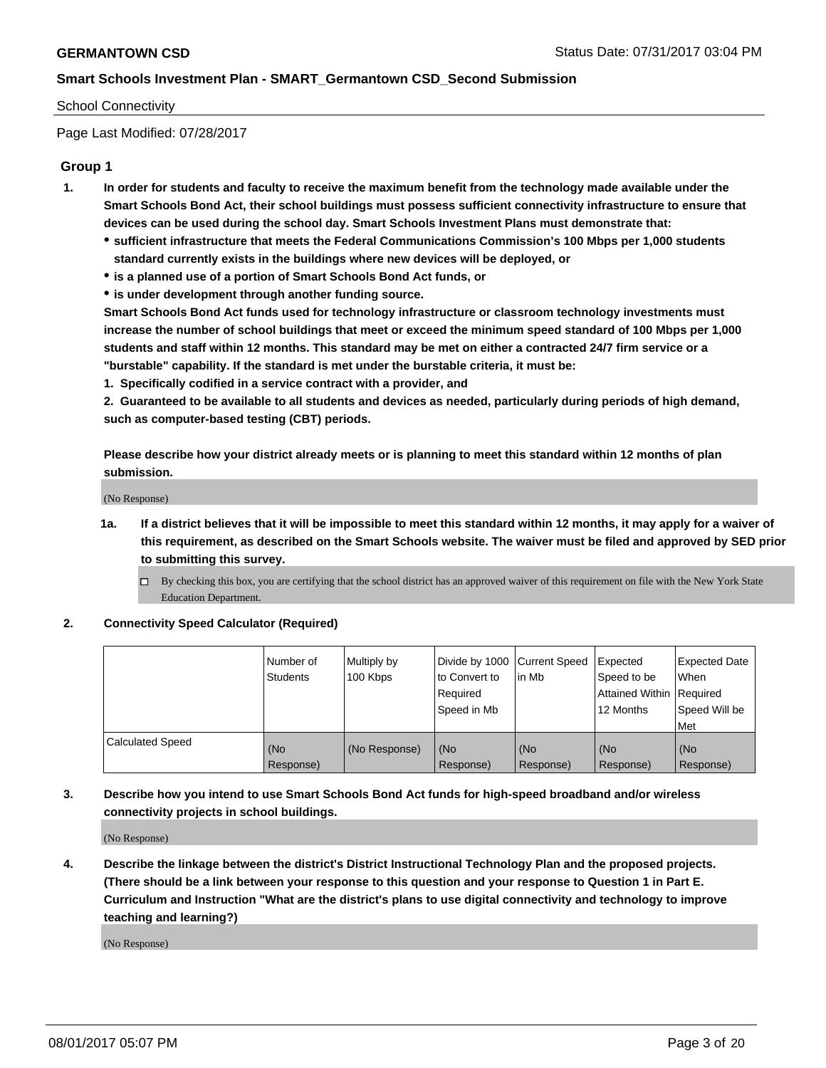### School Connectivity

Page Last Modified: 07/28/2017

### **Group 1**

- **1. In order for students and faculty to receive the maximum benefit from the technology made available under the Smart Schools Bond Act, their school buildings must possess sufficient connectivity infrastructure to ensure that devices can be used during the school day. Smart Schools Investment Plans must demonstrate that:**
	- **sufficient infrastructure that meets the Federal Communications Commission's 100 Mbps per 1,000 students standard currently exists in the buildings where new devices will be deployed, or**
	- **is a planned use of a portion of Smart Schools Bond Act funds, or**
	- **is under development through another funding source.**

**Smart Schools Bond Act funds used for technology infrastructure or classroom technology investments must increase the number of school buildings that meet or exceed the minimum speed standard of 100 Mbps per 1,000 students and staff within 12 months. This standard may be met on either a contracted 24/7 firm service or a "burstable" capability. If the standard is met under the burstable criteria, it must be:**

**1. Specifically codified in a service contract with a provider, and**

**2. Guaranteed to be available to all students and devices as needed, particularly during periods of high demand, such as computer-based testing (CBT) periods.**

**Please describe how your district already meets or is planning to meet this standard within 12 months of plan submission.**

(No Response)

- **1a. If a district believes that it will be impossible to meet this standard within 12 months, it may apply for a waiver of this requirement, as described on the Smart Schools website. The waiver must be filed and approved by SED prior to submitting this survey.**
	- By checking this box, you are certifying that the school district has an approved waiver of this requirement on file with the New York State Education Department.

### **2. Connectivity Speed Calculator (Required)**

|                         | l Number of<br><b>Students</b> | Multiply by<br>100 Kbps | Divide by 1000 Current Speed<br>to Convert to<br>Required<br>l Speed in Mb | lin Mb           | Expected<br>Speed to be<br>Attained Within Required<br>12 Months | Expected Date<br>When<br>Speed Will be<br><b>Met</b> |
|-------------------------|--------------------------------|-------------------------|----------------------------------------------------------------------------|------------------|------------------------------------------------------------------|------------------------------------------------------|
| <b>Calculated Speed</b> | (No<br>Response)               | (No Response)           | (No<br>Response)                                                           | (No<br>Response) | (No<br>Response)                                                 | l (No<br>Response)                                   |

### **3. Describe how you intend to use Smart Schools Bond Act funds for high-speed broadband and/or wireless connectivity projects in school buildings.**

(No Response)

**4. Describe the linkage between the district's District Instructional Technology Plan and the proposed projects. (There should be a link between your response to this question and your response to Question 1 in Part E. Curriculum and Instruction "What are the district's plans to use digital connectivity and technology to improve teaching and learning?)**

(No Response)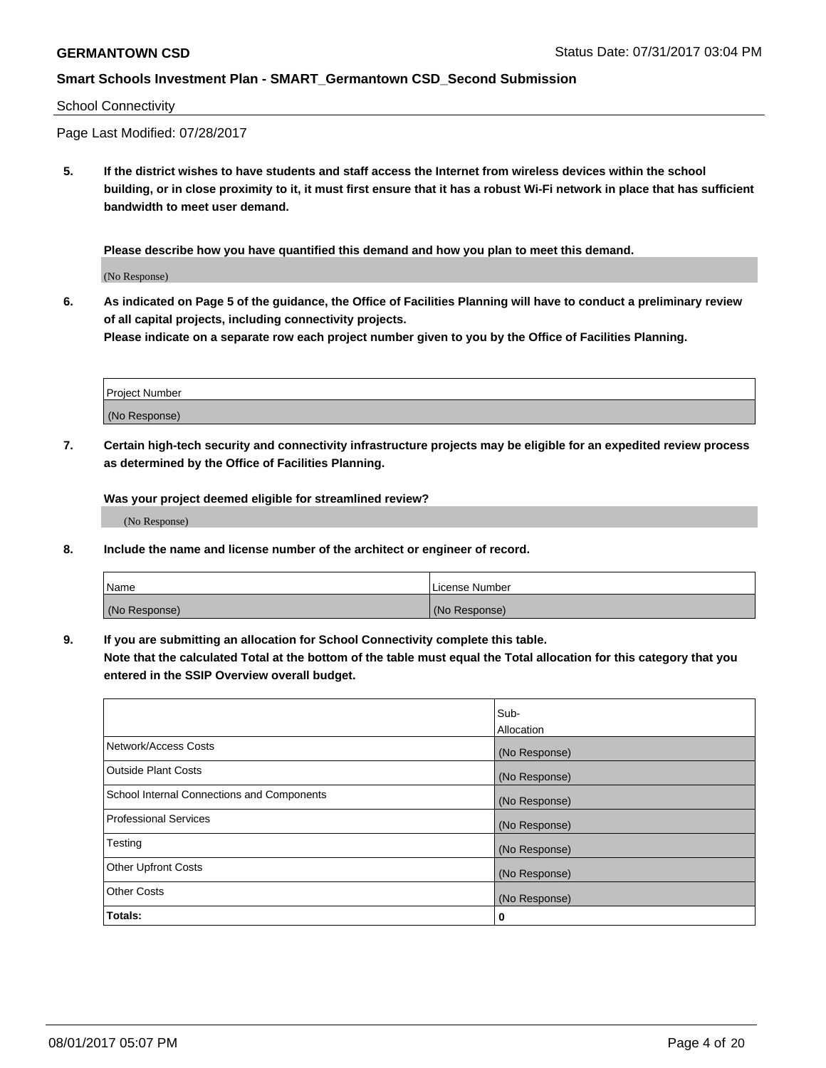### School Connectivity

Page Last Modified: 07/28/2017

**5. If the district wishes to have students and staff access the Internet from wireless devices within the school building, or in close proximity to it, it must first ensure that it has a robust Wi-Fi network in place that has sufficient bandwidth to meet user demand.**

**Please describe how you have quantified this demand and how you plan to meet this demand.**

(No Response)

**6. As indicated on Page 5 of the guidance, the Office of Facilities Planning will have to conduct a preliminary review of all capital projects, including connectivity projects.**

**Please indicate on a separate row each project number given to you by the Office of Facilities Planning.**

| Project Number |  |
|----------------|--|
|                |  |
| (No Response)  |  |

**7. Certain high-tech security and connectivity infrastructure projects may be eligible for an expedited review process as determined by the Office of Facilities Planning.**

**Was your project deemed eligible for streamlined review?**

(No Response)

**8. Include the name and license number of the architect or engineer of record.**

| Name          | License Number |
|---------------|----------------|
| (No Response) | (No Response)  |

**9. If you are submitting an allocation for School Connectivity complete this table.**

**Note that the calculated Total at the bottom of the table must equal the Total allocation for this category that you entered in the SSIP Overview overall budget.** 

|                                            | Sub-              |
|--------------------------------------------|-------------------|
|                                            | <b>Allocation</b> |
| Network/Access Costs                       | (No Response)     |
| <b>Outside Plant Costs</b>                 | (No Response)     |
| School Internal Connections and Components | (No Response)     |
| <b>Professional Services</b>               | (No Response)     |
| Testing                                    | (No Response)     |
| <b>Other Upfront Costs</b>                 | (No Response)     |
| <b>Other Costs</b>                         | (No Response)     |
| Totals:                                    | 0                 |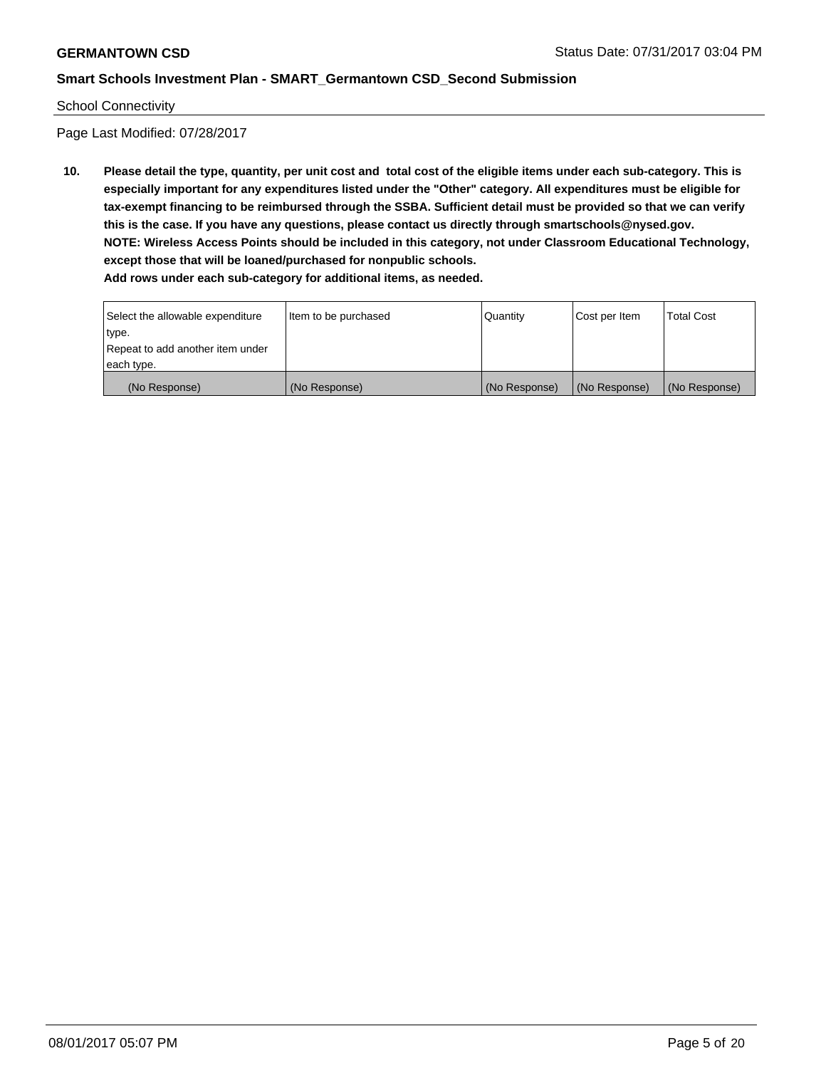### School Connectivity

Page Last Modified: 07/28/2017

**10. Please detail the type, quantity, per unit cost and total cost of the eligible items under each sub-category. This is especially important for any expenditures listed under the "Other" category. All expenditures must be eligible for tax-exempt financing to be reimbursed through the SSBA. Sufficient detail must be provided so that we can verify this is the case. If you have any questions, please contact us directly through smartschools@nysed.gov. NOTE: Wireless Access Points should be included in this category, not under Classroom Educational Technology, except those that will be loaned/purchased for nonpublic schools. Add rows under each sub-category for additional items, as needed.**

Select the allowable expenditure type. Repeat to add another item under each type. Item to be purchased  $\sqrt{$  Quantity  $\sqrt{}$  Cost per Item  $\sqrt{}$  Total Cost (No Response) (No Response) (No Response) (No Response) (No Response)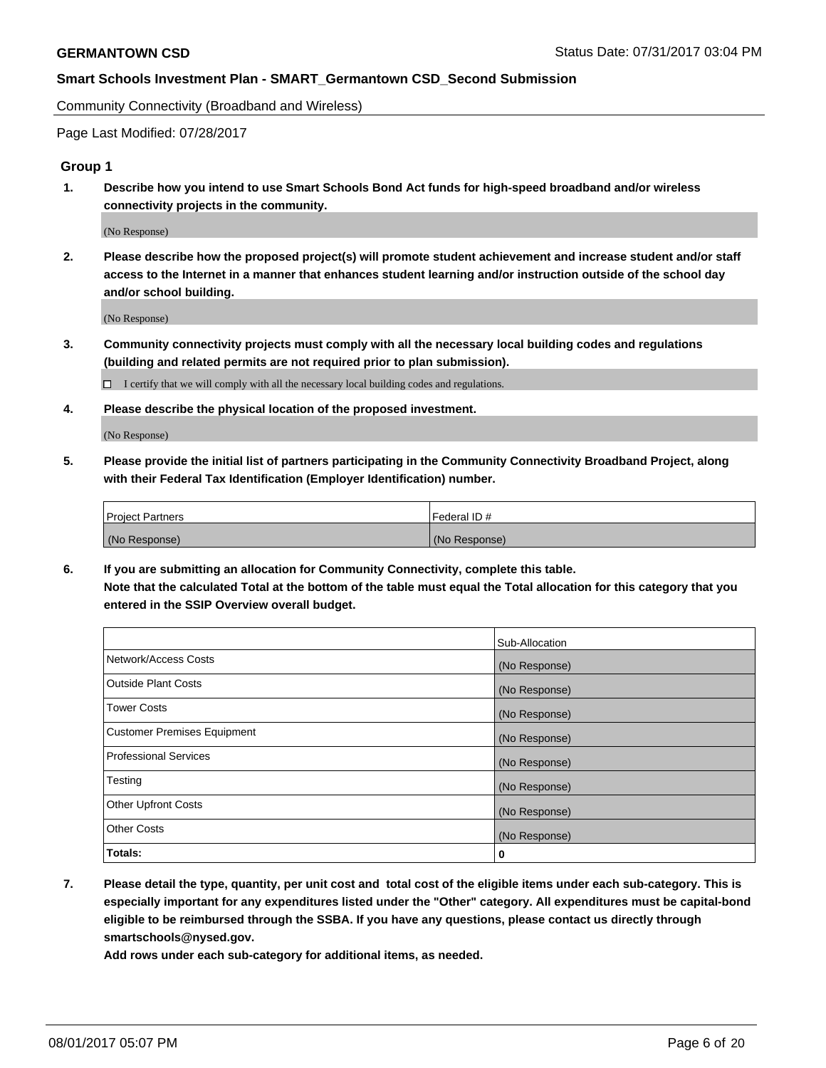Community Connectivity (Broadband and Wireless)

Page Last Modified: 07/28/2017

### **Group 1**

**1. Describe how you intend to use Smart Schools Bond Act funds for high-speed broadband and/or wireless connectivity projects in the community.**

(No Response)

**2. Please describe how the proposed project(s) will promote student achievement and increase student and/or staff access to the Internet in a manner that enhances student learning and/or instruction outside of the school day and/or school building.**

(No Response)

**3. Community connectivity projects must comply with all the necessary local building codes and regulations (building and related permits are not required prior to plan submission).**

 $\Box$  I certify that we will comply with all the necessary local building codes and regulations.

**4. Please describe the physical location of the proposed investment.**

(No Response)

**5. Please provide the initial list of partners participating in the Community Connectivity Broadband Project, along with their Federal Tax Identification (Employer Identification) number.**

| <b>Project Partners</b> | Federal ID#     |
|-------------------------|-----------------|
| (No Response)           | l (No Response) |

**6. If you are submitting an allocation for Community Connectivity, complete this table. Note that the calculated Total at the bottom of the table must equal the Total allocation for this category that you entered in the SSIP Overview overall budget.**

|                                    | Sub-Allocation |
|------------------------------------|----------------|
| Network/Access Costs               | (No Response)  |
| Outside Plant Costs                | (No Response)  |
| <b>Tower Costs</b>                 | (No Response)  |
| <b>Customer Premises Equipment</b> | (No Response)  |
| <b>Professional Services</b>       | (No Response)  |
| Testing                            | (No Response)  |
| <b>Other Upfront Costs</b>         | (No Response)  |
| <b>Other Costs</b>                 | (No Response)  |
| Totals:                            | 0              |

**7. Please detail the type, quantity, per unit cost and total cost of the eligible items under each sub-category. This is especially important for any expenditures listed under the "Other" category. All expenditures must be capital-bond eligible to be reimbursed through the SSBA. If you have any questions, please contact us directly through smartschools@nysed.gov.**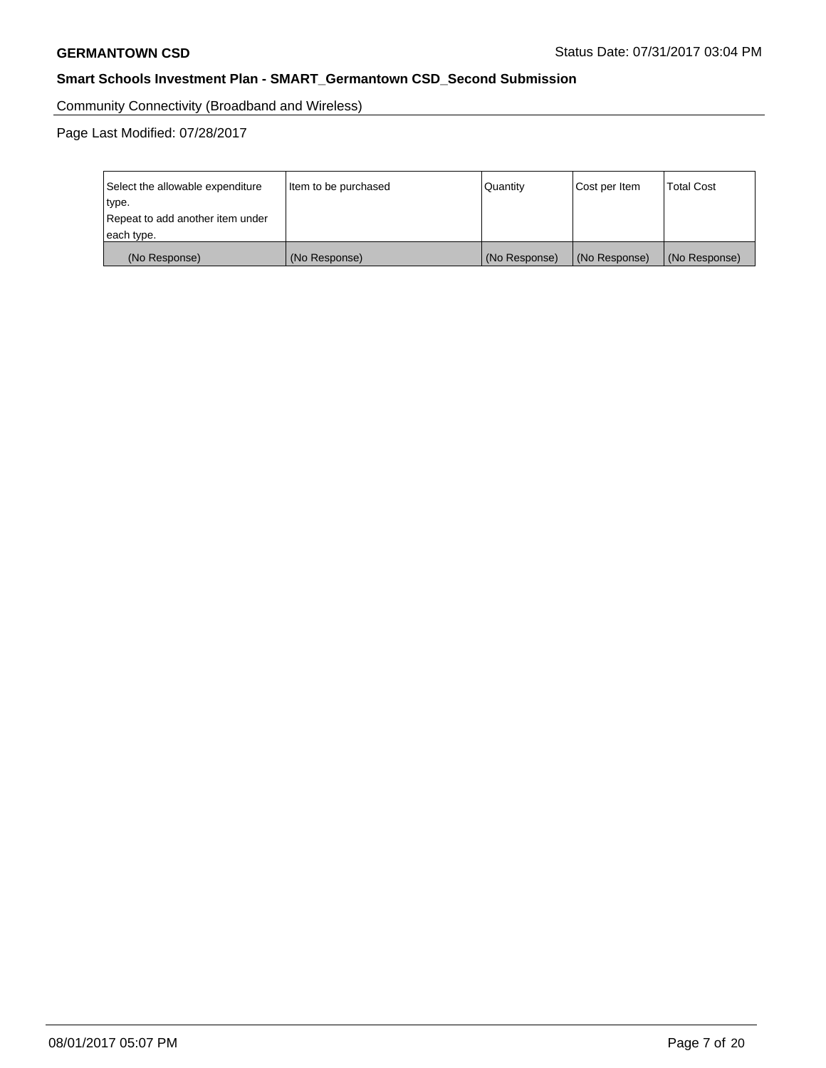Community Connectivity (Broadband and Wireless)

Page Last Modified: 07/28/2017

| Select the allowable expenditure<br>type.<br>Repeat to add another item under<br>each type. | Item to be purchased | Quantity      | Cost per Item | <b>Total Cost</b> |
|---------------------------------------------------------------------------------------------|----------------------|---------------|---------------|-------------------|
| (No Response)                                                                               | (No Response)        | (No Response) | (No Response) | (No Response)     |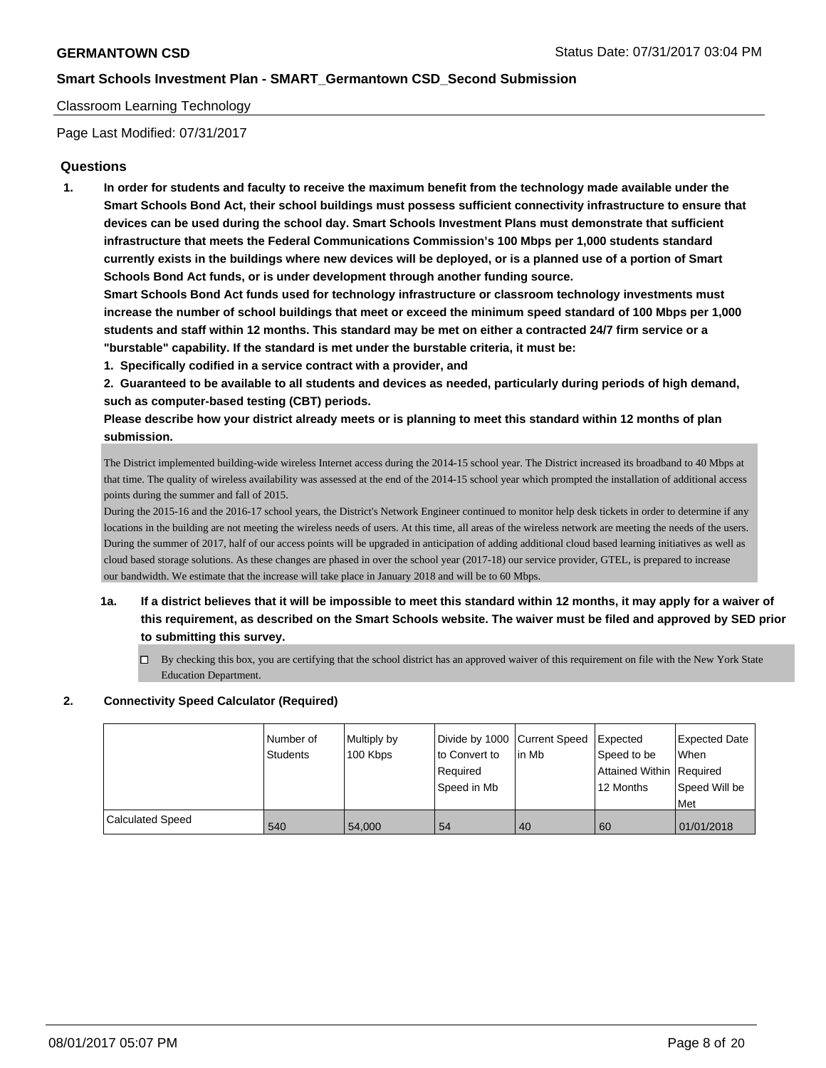### Classroom Learning Technology

Page Last Modified: 07/31/2017

### **Questions**

**1. In order for students and faculty to receive the maximum benefit from the technology made available under the Smart Schools Bond Act, their school buildings must possess sufficient connectivity infrastructure to ensure that devices can be used during the school day. Smart Schools Investment Plans must demonstrate that sufficient infrastructure that meets the Federal Communications Commission's 100 Mbps per 1,000 students standard currently exists in the buildings where new devices will be deployed, or is a planned use of a portion of Smart Schools Bond Act funds, or is under development through another funding source.**

**Smart Schools Bond Act funds used for technology infrastructure or classroom technology investments must increase the number of school buildings that meet or exceed the minimum speed standard of 100 Mbps per 1,000 students and staff within 12 months. This standard may be met on either a contracted 24/7 firm service or a "burstable" capability. If the standard is met under the burstable criteria, it must be:**

**1. Specifically codified in a service contract with a provider, and**

**2. Guaranteed to be available to all students and devices as needed, particularly during periods of high demand, such as computer-based testing (CBT) periods.**

**Please describe how your district already meets or is planning to meet this standard within 12 months of plan submission.**

The District implemented building-wide wireless Internet access during the 2014-15 school year. The District increased its broadband to 40 Mbps at that time. The quality of wireless availability was assessed at the end of the 2014-15 school year which prompted the installation of additional access points during the summer and fall of 2015.

During the 2015-16 and the 2016-17 school years, the District's Network Engineer continued to monitor help desk tickets in order to determine if any locations in the building are not meeting the wireless needs of users. At this time, all areas of the wireless network are meeting the needs of the users. During the summer of 2017, half of our access points will be upgraded in anticipation of adding additional cloud based learning initiatives as well as cloud based storage solutions. As these changes are phased in over the school year (2017-18) our service provider, GTEL, is prepared to increase our bandwidth. We estimate that the increase will take place in January 2018 and will be to 60 Mbps.

- **1a. If a district believes that it will be impossible to meet this standard within 12 months, it may apply for a waiver of this requirement, as described on the Smart Schools website. The waiver must be filed and approved by SED prior to submitting this survey.**
	- $\Box$  By checking this box, you are certifying that the school district has an approved waiver of this requirement on file with the New York State Education Department.

### **2. Connectivity Speed Calculator (Required)**

|                  | Number of<br><b>Students</b> | Multiply by<br>100 Kbps | Divide by 1000 Current Speed<br>to Convert to<br>Required<br>Speed in Mb | lin Mb | <b>Expected</b><br>Speed to be<br>Attained Within Required<br>12 Months | <b>Expected Date</b><br>When<br>l Speed Will be<br>Met |
|------------------|------------------------------|-------------------------|--------------------------------------------------------------------------|--------|-------------------------------------------------------------------------|--------------------------------------------------------|
| Calculated Speed | 540                          | 54.000                  | 54                                                                       | 40     | 60                                                                      | 01/01/2018                                             |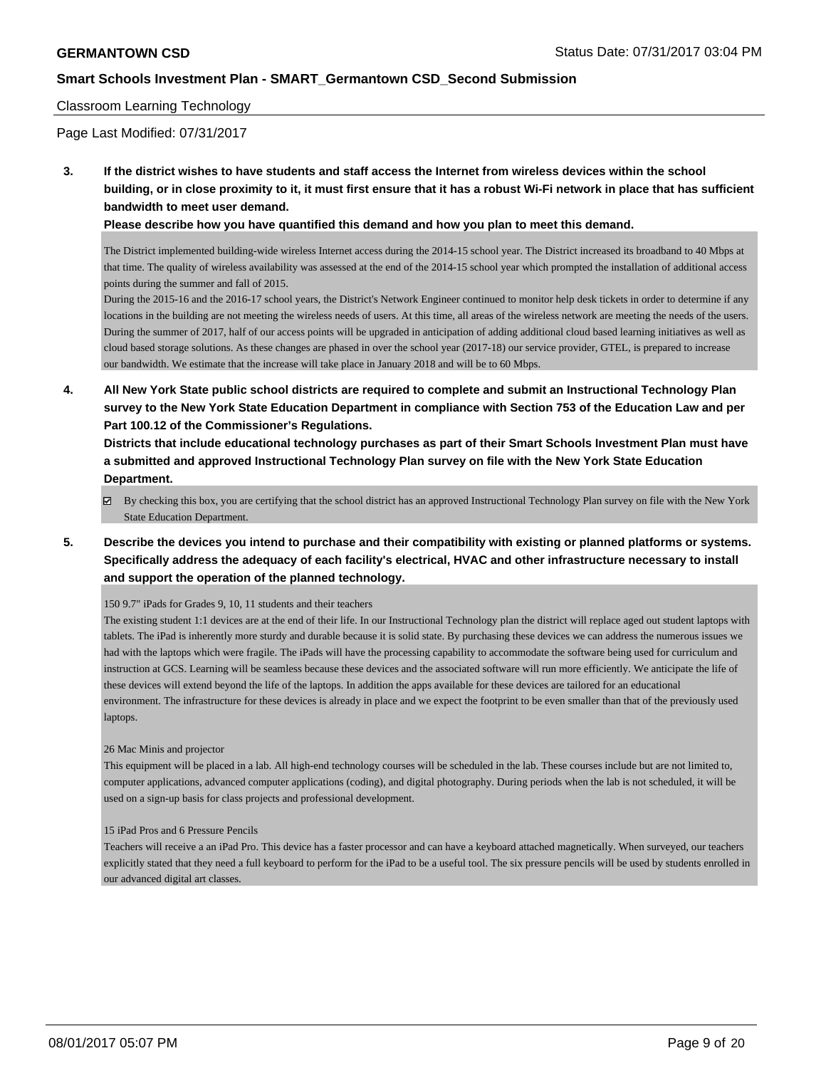### Classroom Learning Technology

Page Last Modified: 07/31/2017

**3. If the district wishes to have students and staff access the Internet from wireless devices within the school building, or in close proximity to it, it must first ensure that it has a robust Wi-Fi network in place that has sufficient bandwidth to meet user demand.**

**Please describe how you have quantified this demand and how you plan to meet this demand.**

The District implemented building-wide wireless Internet access during the 2014-15 school year. The District increased its broadband to 40 Mbps at that time. The quality of wireless availability was assessed at the end of the 2014-15 school year which prompted the installation of additional access points during the summer and fall of 2015.

During the 2015-16 and the 2016-17 school years, the District's Network Engineer continued to monitor help desk tickets in order to determine if any locations in the building are not meeting the wireless needs of users. At this time, all areas of the wireless network are meeting the needs of the users. During the summer of 2017, half of our access points will be upgraded in anticipation of adding additional cloud based learning initiatives as well as cloud based storage solutions. As these changes are phased in over the school year (2017-18) our service provider, GTEL, is prepared to increase our bandwidth. We estimate that the increase will take place in January 2018 and will be to 60 Mbps.

**4. All New York State public school districts are required to complete and submit an Instructional Technology Plan survey to the New York State Education Department in compliance with Section 753 of the Education Law and per Part 100.12 of the Commissioner's Regulations.**

**Districts that include educational technology purchases as part of their Smart Schools Investment Plan must have a submitted and approved Instructional Technology Plan survey on file with the New York State Education Department.**

- By checking this box, you are certifying that the school district has an approved Instructional Technology Plan survey on file with the New York State Education Department.
- **5. Describe the devices you intend to purchase and their compatibility with existing or planned platforms or systems. Specifically address the adequacy of each facility's electrical, HVAC and other infrastructure necessary to install and support the operation of the planned technology.**

150 9.7" iPads for Grades 9, 10, 11 students and their teachers

The existing student 1:1 devices are at the end of their life. In our Instructional Technology plan the district will replace aged out student laptops with tablets. The iPad is inherently more sturdy and durable because it is solid state. By purchasing these devices we can address the numerous issues we had with the laptops which were fragile. The iPads will have the processing capability to accommodate the software being used for curriculum and instruction at GCS. Learning will be seamless because these devices and the associated software will run more efficiently. We anticipate the life of these devices will extend beyond the life of the laptops. In addition the apps available for these devices are tailored for an educational environment. The infrastructure for these devices is already in place and we expect the footprint to be even smaller than that of the previously used laptops.

#### 26 Mac Minis and projector

This equipment will be placed in a lab. All high-end technology courses will be scheduled in the lab. These courses include but are not limited to, computer applications, advanced computer applications (coding), and digital photography. During periods when the lab is not scheduled, it will be used on a sign-up basis for class projects and professional development.

#### 15 iPad Pros and 6 Pressure Pencils

Teachers will receive a an iPad Pro. This device has a faster processor and can have a keyboard attached magnetically. When surveyed, our teachers explicitly stated that they need a full keyboard to perform for the iPad to be a useful tool. The six pressure pencils will be used by students enrolled in our advanced digital art classes.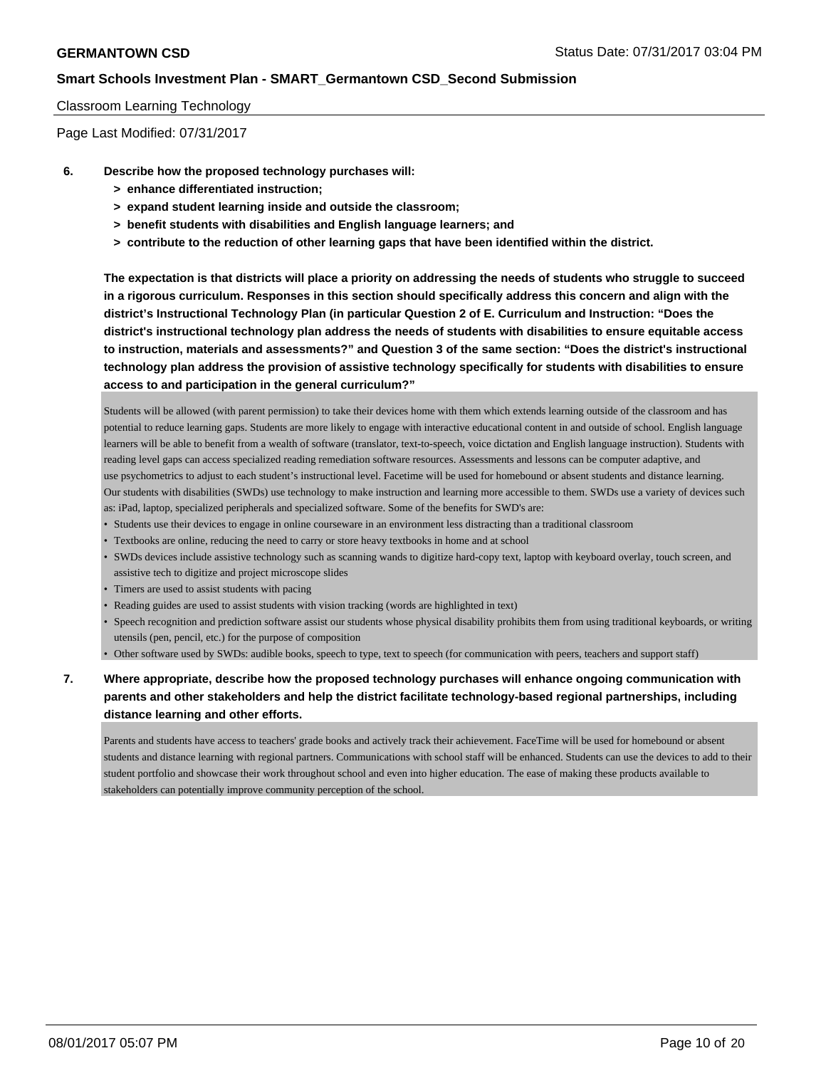### Classroom Learning Technology

Page Last Modified: 07/31/2017

- **6. Describe how the proposed technology purchases will:**
	- **> enhance differentiated instruction;**
	- **> expand student learning inside and outside the classroom;**
	- **> benefit students with disabilities and English language learners; and**
	- **> contribute to the reduction of other learning gaps that have been identified within the district.**

**The expectation is that districts will place a priority on addressing the needs of students who struggle to succeed in a rigorous curriculum. Responses in this section should specifically address this concern and align with the district's Instructional Technology Plan (in particular Question 2 of E. Curriculum and Instruction: "Does the district's instructional technology plan address the needs of students with disabilities to ensure equitable access to instruction, materials and assessments?" and Question 3 of the same section: "Does the district's instructional technology plan address the provision of assistive technology specifically for students with disabilities to ensure access to and participation in the general curriculum?"**

Students will be allowed (with parent permission) to take their devices home with them which extends learning outside of the classroom and has potential to reduce learning gaps. Students are more likely to engage with interactive educational content in and outside of school. English language learners will be able to benefit from a wealth of software (translator, text-to-speech, voice dictation and English language instruction). Students with reading level gaps can access specialized reading remediation software resources. Assessments and lessons can be computer adaptive, and use psychometrics to adjust to each student's instructional level. Facetime will be used for homebound or absent students and distance learning. Our students with disabilities (SWDs) use technology to make instruction and learning more accessible to them. SWDs use a variety of devices such as: iPad, laptop, specialized peripherals and specialized software. Some of the benefits for SWD's are:

- Students use their devices to engage in online courseware in an environment less distracting than a traditional classroom
- Textbooks are online, reducing the need to carry or store heavy textbooks in home and at school
- SWDs devices include assistive technology such as scanning wands to digitize hard-copy text, laptop with keyboard overlay, touch screen, and assistive tech to digitize and project microscope slides
- Timers are used to assist students with pacing
- Reading guides are used to assist students with vision tracking (words are highlighted in text)
- Speech recognition and prediction software assist our students whose physical disability prohibits them from using traditional keyboards, or writing utensils (pen, pencil, etc.) for the purpose of composition
- Other software used by SWDs: audible books, speech to type, text to speech (for communication with peers, teachers and support staff)

# **7. Where appropriate, describe how the proposed technology purchases will enhance ongoing communication with parents and other stakeholders and help the district facilitate technology-based regional partnerships, including distance learning and other efforts.**

Parents and students have access to teachers' grade books and actively track their achievement. FaceTime will be used for homebound or absent students and distance learning with regional partners. Communications with school staff will be enhanced. Students can use the devices to add to their student portfolio and showcase their work throughout school and even into higher education. The ease of making these products available to stakeholders can potentially improve community perception of the school.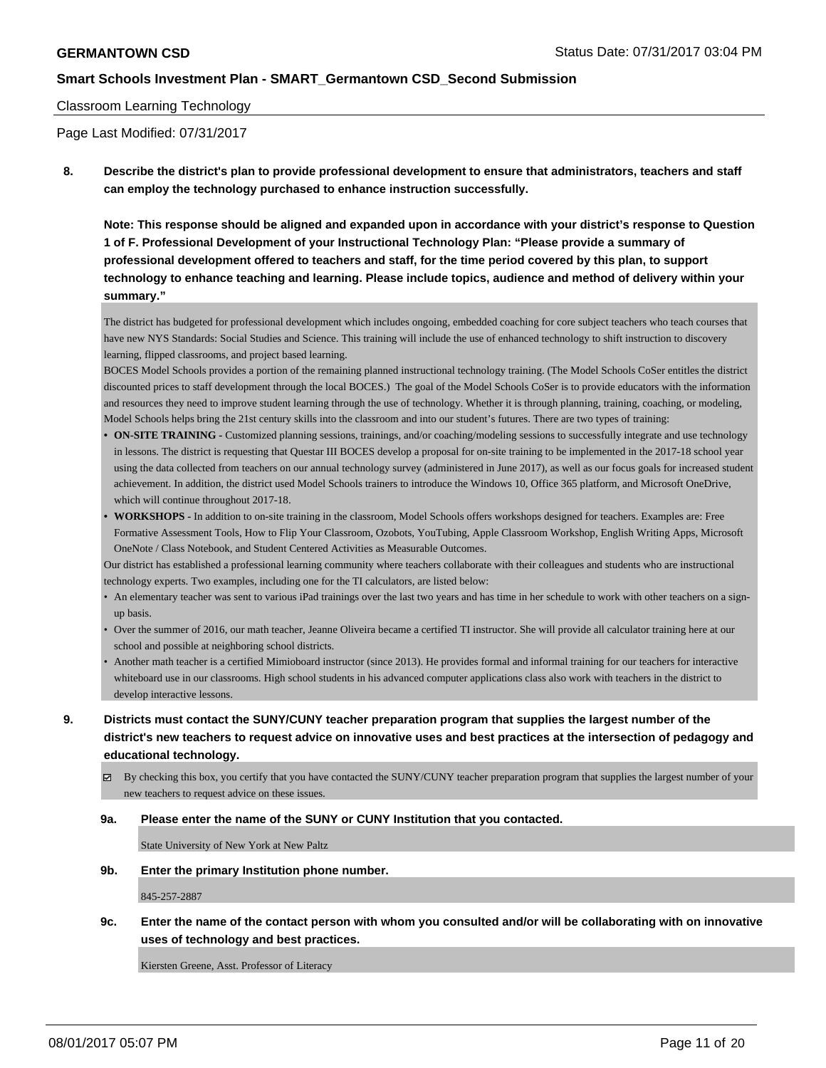### Classroom Learning Technology

Page Last Modified: 07/31/2017

**8. Describe the district's plan to provide professional development to ensure that administrators, teachers and staff can employ the technology purchased to enhance instruction successfully.**

**Note: This response should be aligned and expanded upon in accordance with your district's response to Question 1 of F. Professional Development of your Instructional Technology Plan: "Please provide a summary of professional development offered to teachers and staff, for the time period covered by this plan, to support technology to enhance teaching and learning. Please include topics, audience and method of delivery within your summary."**

The district has budgeted for professional development which includes ongoing, embedded coaching for core subject teachers who teach courses that have new NYS Standards: Social Studies and Science. This training will include the use of enhanced technology to shift instruction to discovery learning, flipped classrooms, and project based learning.

BOCES Model Schools provides a portion of the remaining planned instructional technology training. (The Model Schools CoSer entitles the district discounted prices to staff development through the local BOCES.) The goal of the Model Schools CoSer is to provide educators with the information and resources they need to improve student learning through the use of technology. Whether it is through planning, training, coaching, or modeling, Model Schools helps bring the 21st century skills into the classroom and into our student's futures. There are two types of training:

- **ON-SITE TRAINING** Customized planning sessions, trainings, and/or coaching/modeling sessions to successfully integrate and use technology in lessons. The district is requesting that Questar III BOCES develop a proposal for on-site training to be implemented in the 2017-18 school year using the data collected from teachers on our annual technology survey (administered in June 2017), as well as our focus goals for increased student achievement. In addition, the district used Model Schools trainers to introduce the Windows 10, Office 365 platform, and Microsoft OneDrive, which will continue throughout 2017-18.
- **• WORKSHOPS** In addition to on-site training in the classroom, Model Schools offers workshops designed for teachers. Examples are: Free Formative Assessment Tools, How to Flip Your Classroom, Ozobots, YouTubing, Apple Classroom Workshop, English Writing Apps, Microsoft OneNote / Class Notebook, and Student Centered Activities as Measurable Outcomes.

Our district has established a professional learning community where teachers collaborate with their colleagues and students who are instructional technology experts. Two examples, including one for the TI calculators, are listed below:

- An elementary teacher was sent to various iPad trainings over the last two years and has time in her schedule to work with other teachers on a signup basis.
- Over the summer of 2016, our math teacher, Jeanne Oliveira became a certified TI instructor. She will provide all calculator training here at our school and possible at neighboring school districts.
- Another math teacher is a certified Mimioboard instructor (since 2013). He provides formal and informal training for our teachers for interactive whiteboard use in our classrooms. High school students in his advanced computer applications class also work with teachers in the district to develop interactive lessons
- **9. Districts must contact the SUNY/CUNY teacher preparation program that supplies the largest number of the district's new teachers to request advice on innovative uses and best practices at the intersection of pedagogy and educational technology.**
	- $\boxtimes$  By checking this box, you certify that you have contacted the SUNY/CUNY teacher preparation program that supplies the largest number of your new teachers to request advice on these issues.

#### **9a. Please enter the name of the SUNY or CUNY Institution that you contacted.**

State University of New York at New Paltz

#### **9b. Enter the primary Institution phone number.**

845-257-2887

**9c. Enter the name of the contact person with whom you consulted and/or will be collaborating with on innovative uses of technology and best practices.**

Kiersten Greene, Asst. Professor of Literacy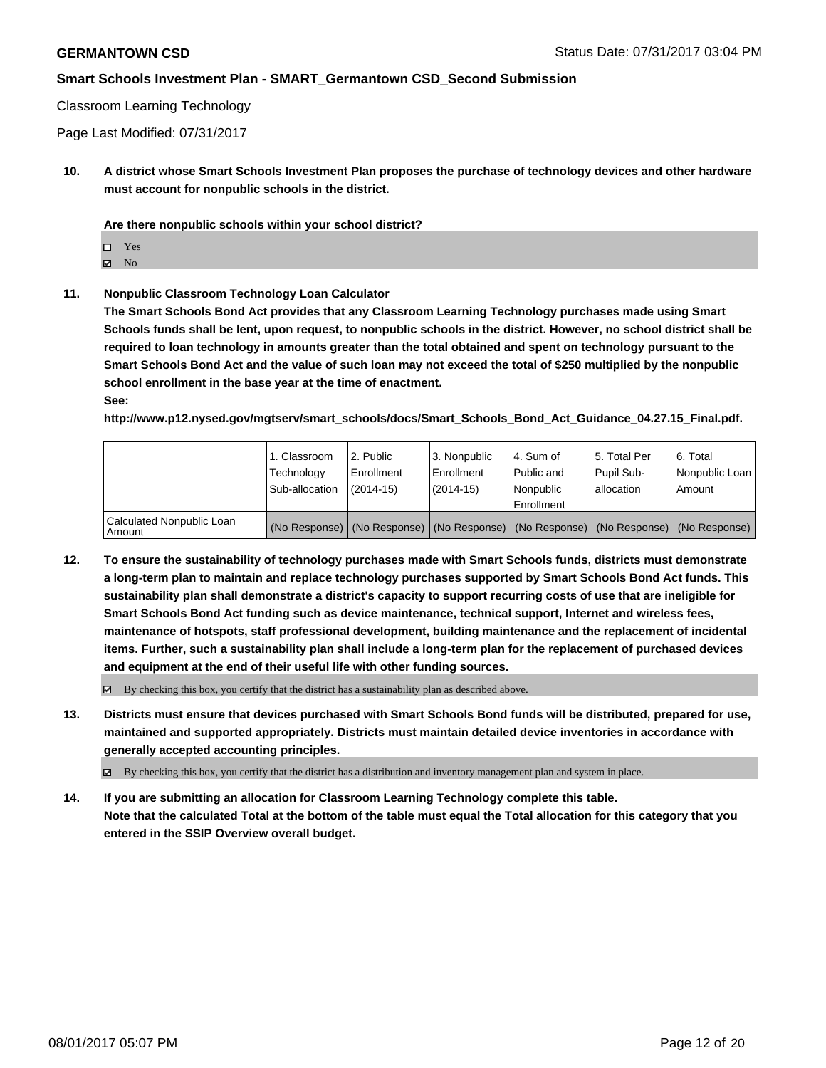### Classroom Learning Technology

Page Last Modified: 07/31/2017

**10. A district whose Smart Schools Investment Plan proposes the purchase of technology devices and other hardware must account for nonpublic schools in the district.**

**Are there nonpublic schools within your school district?**

Yes

 $\boxtimes$  No

### **11. Nonpublic Classroom Technology Loan Calculator**

**The Smart Schools Bond Act provides that any Classroom Learning Technology purchases made using Smart Schools funds shall be lent, upon request, to nonpublic schools in the district. However, no school district shall be required to loan technology in amounts greater than the total obtained and spent on technology pursuant to the Smart Schools Bond Act and the value of such loan may not exceed the total of \$250 multiplied by the nonpublic school enrollment in the base year at the time of enactment. See:**

**http://www.p12.nysed.gov/mgtserv/smart\_schools/docs/Smart\_Schools\_Bond\_Act\_Guidance\_04.27.15\_Final.pdf.**

|                                       | 1. Classroom<br>Technology<br>Sub-allocation | 2. Public<br>l Enrollment<br>(2014-15) | l 3. Nonpublic<br>l Enrollment<br>$(2014 - 15)$ | l 4. Sum of<br>Public and<br>l Nonpublic<br>Enrollment                                        | 15. Total Per<br>Pupil Sub-<br>lallocation | l 6. Total<br>Nonpublic Loan<br>Amount |
|---------------------------------------|----------------------------------------------|----------------------------------------|-------------------------------------------------|-----------------------------------------------------------------------------------------------|--------------------------------------------|----------------------------------------|
| Calculated Nonpublic Loan<br>l Amount |                                              |                                        |                                                 | (No Response)   (No Response)   (No Response)   (No Response)   (No Response)   (No Response) |                                            |                                        |

**12. To ensure the sustainability of technology purchases made with Smart Schools funds, districts must demonstrate a long-term plan to maintain and replace technology purchases supported by Smart Schools Bond Act funds. This sustainability plan shall demonstrate a district's capacity to support recurring costs of use that are ineligible for Smart Schools Bond Act funding such as device maintenance, technical support, Internet and wireless fees, maintenance of hotspots, staff professional development, building maintenance and the replacement of incidental items. Further, such a sustainability plan shall include a long-term plan for the replacement of purchased devices and equipment at the end of their useful life with other funding sources.**

 $\boxtimes$  By checking this box, you certify that the district has a sustainability plan as described above.

**13. Districts must ensure that devices purchased with Smart Schools Bond funds will be distributed, prepared for use, maintained and supported appropriately. Districts must maintain detailed device inventories in accordance with generally accepted accounting principles.**

By checking this box, you certify that the district has a distribution and inventory management plan and system in place.

**14. If you are submitting an allocation for Classroom Learning Technology complete this table. Note that the calculated Total at the bottom of the table must equal the Total allocation for this category that you entered in the SSIP Overview overall budget.**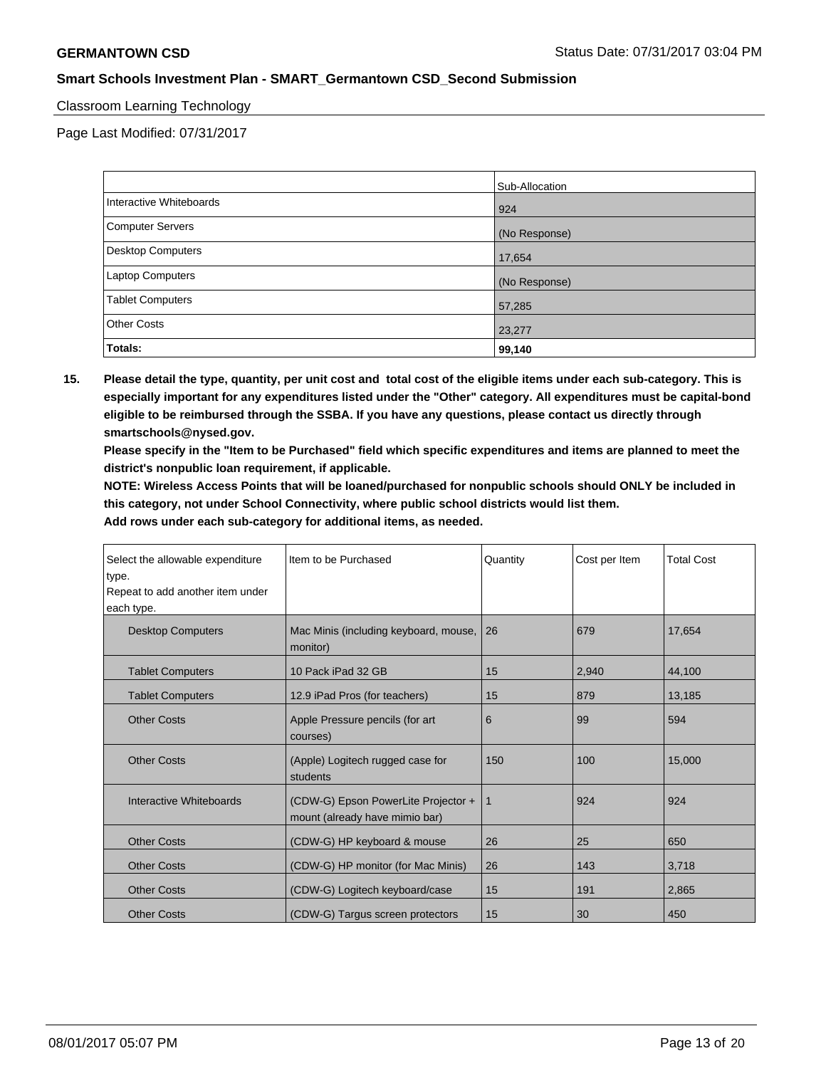### Classroom Learning Technology

Page Last Modified: 07/31/2017

|                         | Sub-Allocation |
|-------------------------|----------------|
| Interactive Whiteboards | 924            |
| Computer Servers        | (No Response)  |
| Desktop Computers       | 17,654         |
| Laptop Computers        | (No Response)  |
| <b>Tablet Computers</b> | 57,285         |
| <b>Other Costs</b>      | 23,277         |
| Totals:                 | 99,140         |

**15. Please detail the type, quantity, per unit cost and total cost of the eligible items under each sub-category. This is especially important for any expenditures listed under the "Other" category. All expenditures must be capital-bond eligible to be reimbursed through the SSBA. If you have any questions, please contact us directly through smartschools@nysed.gov.**

**Please specify in the "Item to be Purchased" field which specific expenditures and items are planned to meet the district's nonpublic loan requirement, if applicable.**

**NOTE: Wireless Access Points that will be loaned/purchased for nonpublic schools should ONLY be included in this category, not under School Connectivity, where public school districts would list them.**

| Select the allowable expenditure<br>type.<br>Repeat to add another item under<br>each type. | Item to be Purchased                                                  | Quantity    | Cost per Item | <b>Total Cost</b> |
|---------------------------------------------------------------------------------------------|-----------------------------------------------------------------------|-------------|---------------|-------------------|
| <b>Desktop Computers</b>                                                                    | Mac Minis (including keyboard, mouse, 26<br>monitor)                  |             | 679           | 17,654            |
| <b>Tablet Computers</b>                                                                     | 10 Pack iPad 32 GB                                                    | 15          | 2,940         | 44,100            |
| <b>Tablet Computers</b>                                                                     | 12.9 iPad Pros (for teachers)                                         | 15          | 879           | 13,185            |
| <b>Other Costs</b>                                                                          | Apple Pressure pencils (for art<br>courses)                           | 6           | 99            | 594               |
| <b>Other Costs</b>                                                                          | (Apple) Logitech rugged case for<br>students                          | 150         | 100           | 15,000            |
| Interactive Whiteboards                                                                     | (CDW-G) Epson PowerLite Projector +<br>mount (already have mimio bar) | $\mathbf 1$ | 924           | 924               |
| <b>Other Costs</b>                                                                          | (CDW-G) HP keyboard & mouse                                           | 26          | 25            | 650               |
| <b>Other Costs</b>                                                                          | (CDW-G) HP monitor (for Mac Minis)                                    | 26          | 143           | 3,718             |
| <b>Other Costs</b>                                                                          | (CDW-G) Logitech keyboard/case                                        | 15          | 191           | 2,865             |
| <b>Other Costs</b>                                                                          | (CDW-G) Targus screen protectors                                      | 15          | 30            | 450               |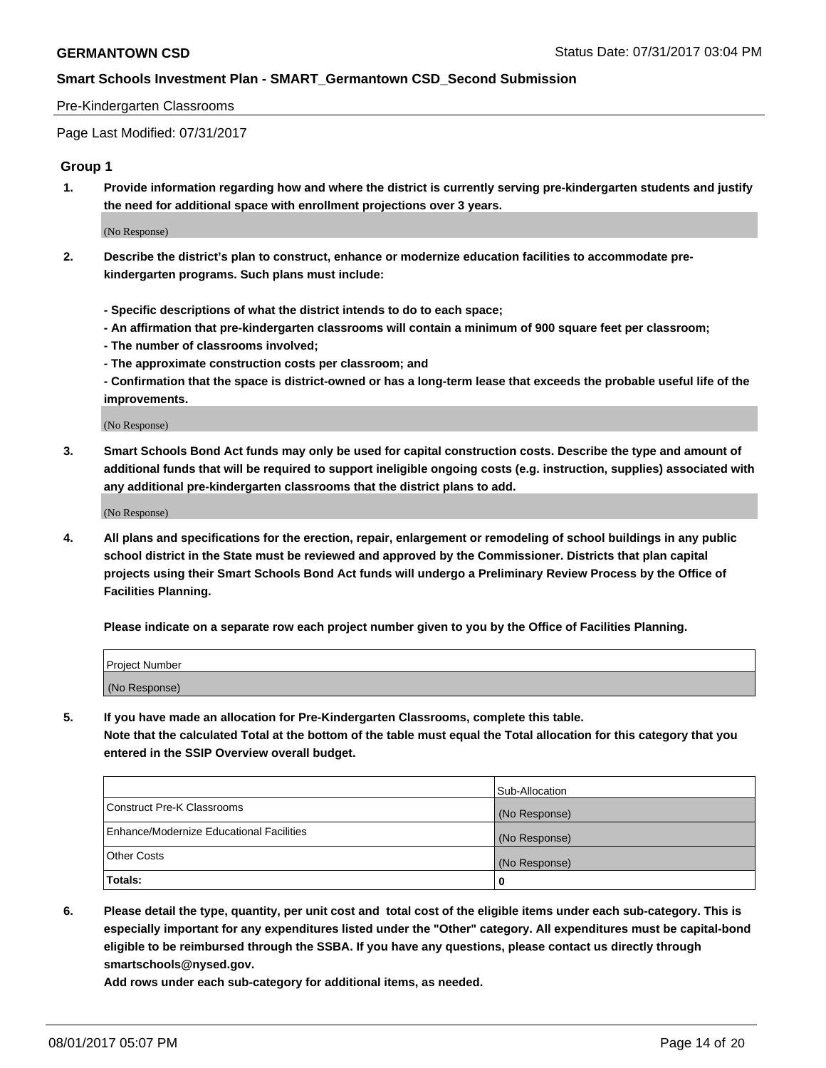### Pre-Kindergarten Classrooms

Page Last Modified: 07/31/2017

### **Group 1**

**1. Provide information regarding how and where the district is currently serving pre-kindergarten students and justify the need for additional space with enrollment projections over 3 years.**

(No Response)

- **2. Describe the district's plan to construct, enhance or modernize education facilities to accommodate prekindergarten programs. Such plans must include:**
	- **Specific descriptions of what the district intends to do to each space;**
	- **An affirmation that pre-kindergarten classrooms will contain a minimum of 900 square feet per classroom;**
	- **The number of classrooms involved;**
	- **The approximate construction costs per classroom; and**
	- **Confirmation that the space is district-owned or has a long-term lease that exceeds the probable useful life of the improvements.**

(No Response)

**3. Smart Schools Bond Act funds may only be used for capital construction costs. Describe the type and amount of additional funds that will be required to support ineligible ongoing costs (e.g. instruction, supplies) associated with any additional pre-kindergarten classrooms that the district plans to add.**

(No Response)

**4. All plans and specifications for the erection, repair, enlargement or remodeling of school buildings in any public school district in the State must be reviewed and approved by the Commissioner. Districts that plan capital projects using their Smart Schools Bond Act funds will undergo a Preliminary Review Process by the Office of Facilities Planning.**

**Please indicate on a separate row each project number given to you by the Office of Facilities Planning.**

| Project Number |  |
|----------------|--|
| (No Response)  |  |

**5. If you have made an allocation for Pre-Kindergarten Classrooms, complete this table. Note that the calculated Total at the bottom of the table must equal the Total allocation for this category that you entered in the SSIP Overview overall budget.**

| Totals:                                  | 0              |
|------------------------------------------|----------------|
| Other Costs                              | (No Response)  |
| Enhance/Modernize Educational Facilities | (No Response)  |
| Construct Pre-K Classrooms               | (No Response)  |
|                                          | Sub-Allocation |

**6. Please detail the type, quantity, per unit cost and total cost of the eligible items under each sub-category. This is especially important for any expenditures listed under the "Other" category. All expenditures must be capital-bond eligible to be reimbursed through the SSBA. If you have any questions, please contact us directly through smartschools@nysed.gov.**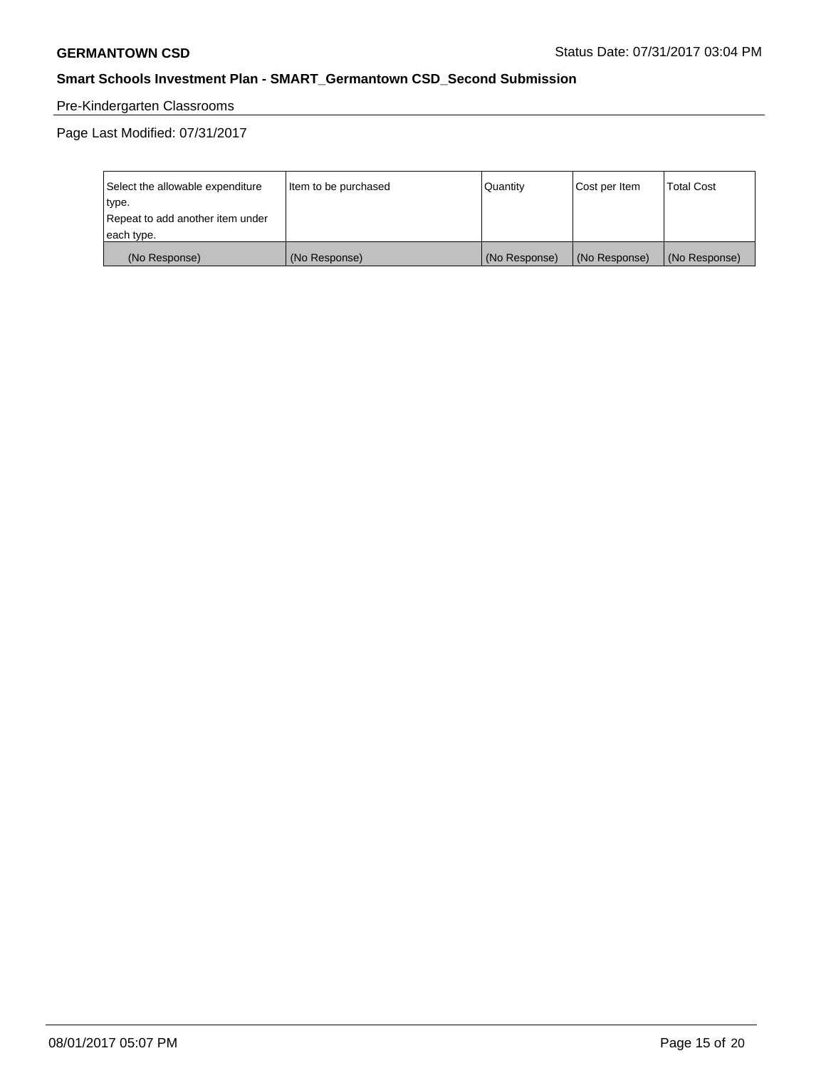# Pre-Kindergarten Classrooms

Page Last Modified: 07/31/2017

| Select the allowable expenditure | Item to be purchased | Quantity      | Cost per Item | <b>Total Cost</b> |
|----------------------------------|----------------------|---------------|---------------|-------------------|
| type.                            |                      |               |               |                   |
| Repeat to add another item under |                      |               |               |                   |
| each type.                       |                      |               |               |                   |
| (No Response)                    | (No Response)        | (No Response) | (No Response) | (No Response)     |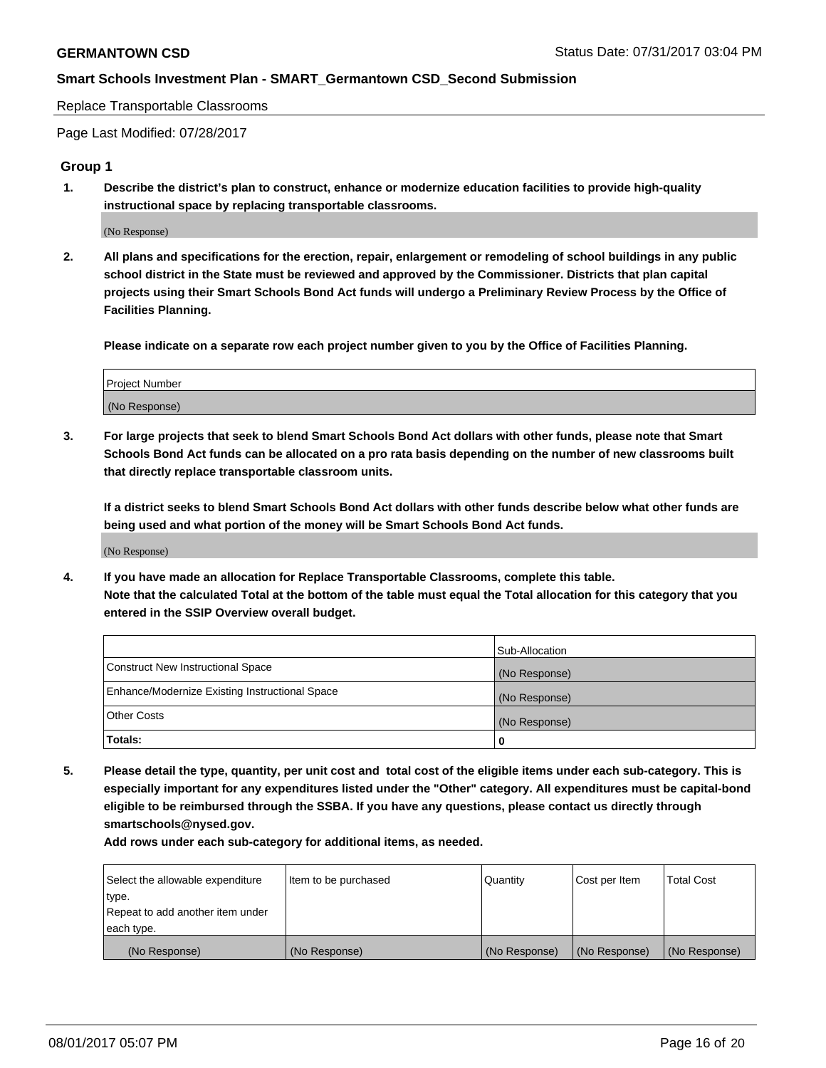Replace Transportable Classrooms

Page Last Modified: 07/28/2017

### **Group 1**

**1. Describe the district's plan to construct, enhance or modernize education facilities to provide high-quality instructional space by replacing transportable classrooms.**

(No Response)

**2. All plans and specifications for the erection, repair, enlargement or remodeling of school buildings in any public school district in the State must be reviewed and approved by the Commissioner. Districts that plan capital projects using their Smart Schools Bond Act funds will undergo a Preliminary Review Process by the Office of Facilities Planning.**

**Please indicate on a separate row each project number given to you by the Office of Facilities Planning.**

| Project Number |  |
|----------------|--|
| (No Response)  |  |

**3. For large projects that seek to blend Smart Schools Bond Act dollars with other funds, please note that Smart Schools Bond Act funds can be allocated on a pro rata basis depending on the number of new classrooms built that directly replace transportable classroom units.**

**If a district seeks to blend Smart Schools Bond Act dollars with other funds describe below what other funds are being used and what portion of the money will be Smart Schools Bond Act funds.**

(No Response)

**4. If you have made an allocation for Replace Transportable Classrooms, complete this table. Note that the calculated Total at the bottom of the table must equal the Total allocation for this category that you entered in the SSIP Overview overall budget.**

|                                                | Sub-Allocation |
|------------------------------------------------|----------------|
| Construct New Instructional Space              | (No Response)  |
| Enhance/Modernize Existing Instructional Space | (No Response)  |
| Other Costs                                    | (No Response)  |
| Totals:                                        | $\Omega$       |

**5. Please detail the type, quantity, per unit cost and total cost of the eligible items under each sub-category. This is especially important for any expenditures listed under the "Other" category. All expenditures must be capital-bond eligible to be reimbursed through the SSBA. If you have any questions, please contact us directly through smartschools@nysed.gov.**

| Select the allowable expenditure | Item to be purchased | Quantity      | Cost per Item | <b>Total Cost</b> |
|----------------------------------|----------------------|---------------|---------------|-------------------|
| type.                            |                      |               |               |                   |
| Repeat to add another item under |                      |               |               |                   |
| each type.                       |                      |               |               |                   |
| (No Response)                    | (No Response)        | (No Response) | (No Response) | (No Response)     |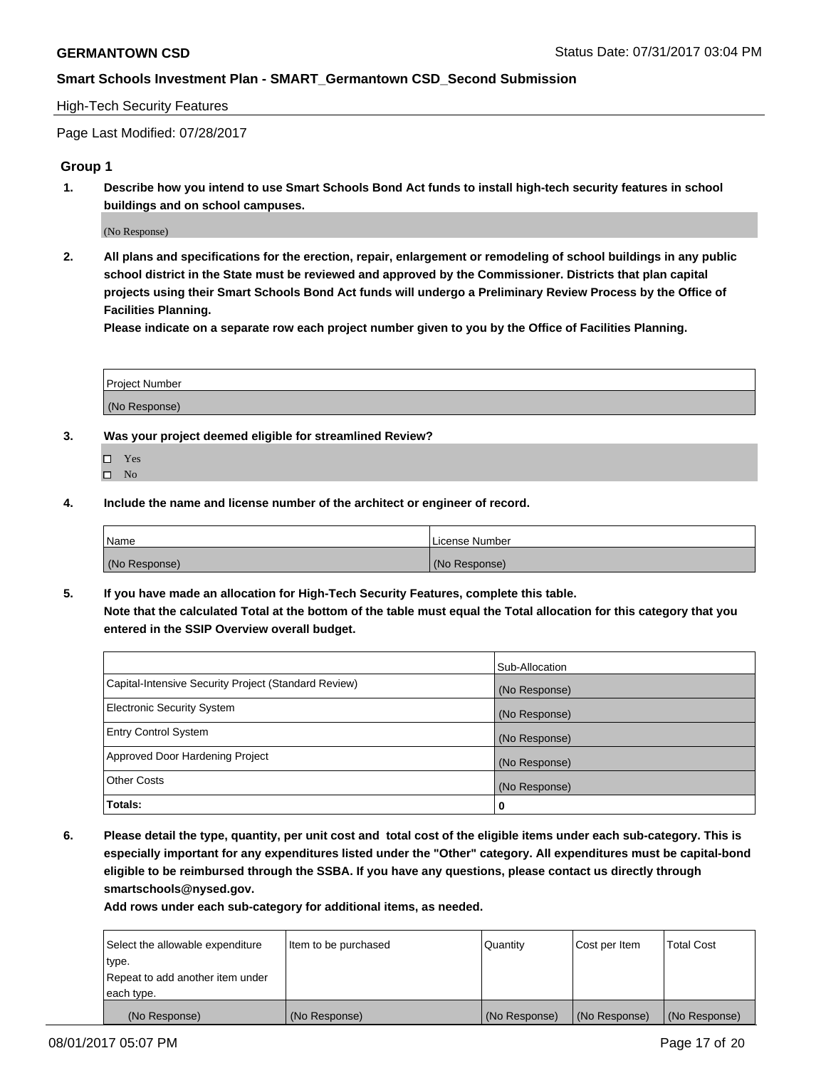### High-Tech Security Features

Page Last Modified: 07/28/2017

### **Group 1**

**1. Describe how you intend to use Smart Schools Bond Act funds to install high-tech security features in school buildings and on school campuses.**

(No Response)

**2. All plans and specifications for the erection, repair, enlargement or remodeling of school buildings in any public school district in the State must be reviewed and approved by the Commissioner. Districts that plan capital projects using their Smart Schools Bond Act funds will undergo a Preliminary Review Process by the Office of Facilities Planning.** 

**Please indicate on a separate row each project number given to you by the Office of Facilities Planning.**

| Project Number |  |
|----------------|--|
|                |  |
| (No Response)  |  |

- **3. Was your project deemed eligible for streamlined Review?**
	- Yes  $\hfill \square$  No
- **4. Include the name and license number of the architect or engineer of record.**

| Name          | License Number |
|---------------|----------------|
| (No Response) | (No Response)  |

**5. If you have made an allocation for High-Tech Security Features, complete this table. Note that the calculated Total at the bottom of the table must equal the Total allocation for this category that you entered in the SSIP Overview overall budget.**

|                                                      | Sub-Allocation |
|------------------------------------------------------|----------------|
| Capital-Intensive Security Project (Standard Review) | (No Response)  |
| <b>Electronic Security System</b>                    | (No Response)  |
| <b>Entry Control System</b>                          | (No Response)  |
| Approved Door Hardening Project                      | (No Response)  |
| <b>Other Costs</b>                                   | (No Response)  |
| Totals:                                              | 0              |

**6. Please detail the type, quantity, per unit cost and total cost of the eligible items under each sub-category. This is especially important for any expenditures listed under the "Other" category. All expenditures must be capital-bond eligible to be reimbursed through the SSBA. If you have any questions, please contact us directly through smartschools@nysed.gov.**

| (No Response)                    | (No Response)        | (No Response) | (No Response) | (No Response)     |
|----------------------------------|----------------------|---------------|---------------|-------------------|
| each type.                       |                      |               |               |                   |
| Repeat to add another item under |                      |               |               |                   |
| type.                            |                      |               |               |                   |
| Select the allowable expenditure | Item to be purchased | Quantity      | Cost per Item | <b>Total Cost</b> |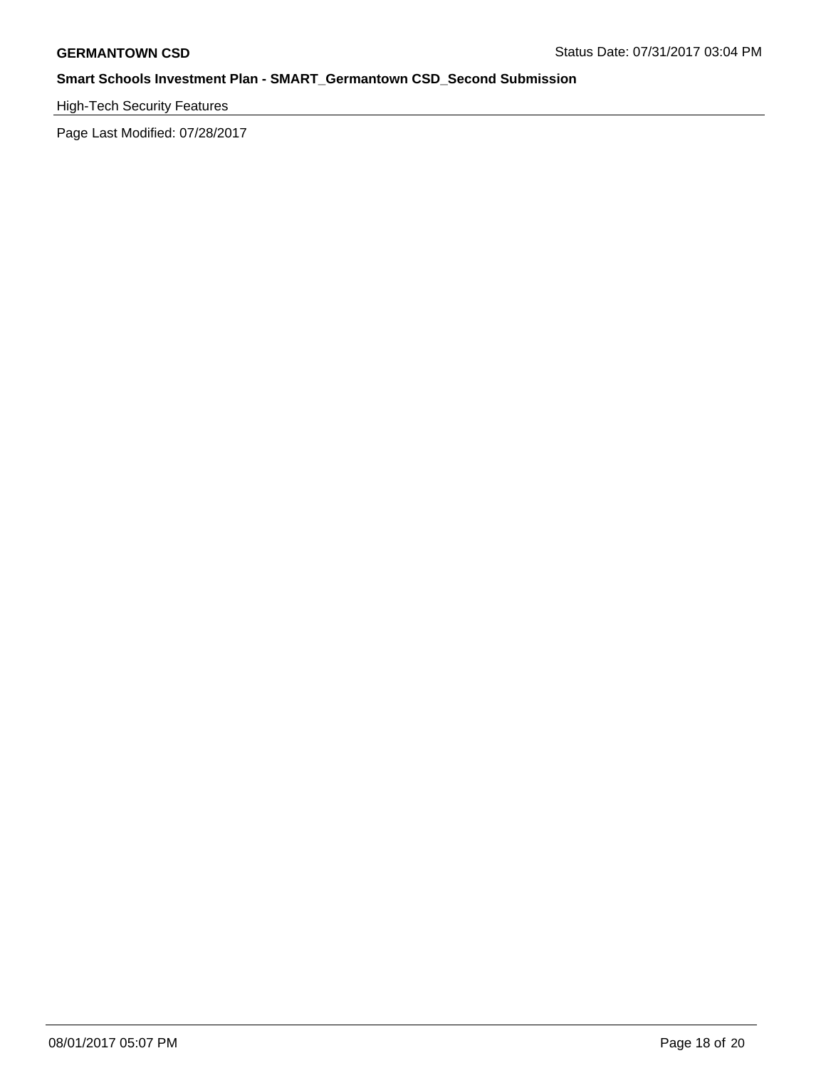High-Tech Security Features

Page Last Modified: 07/28/2017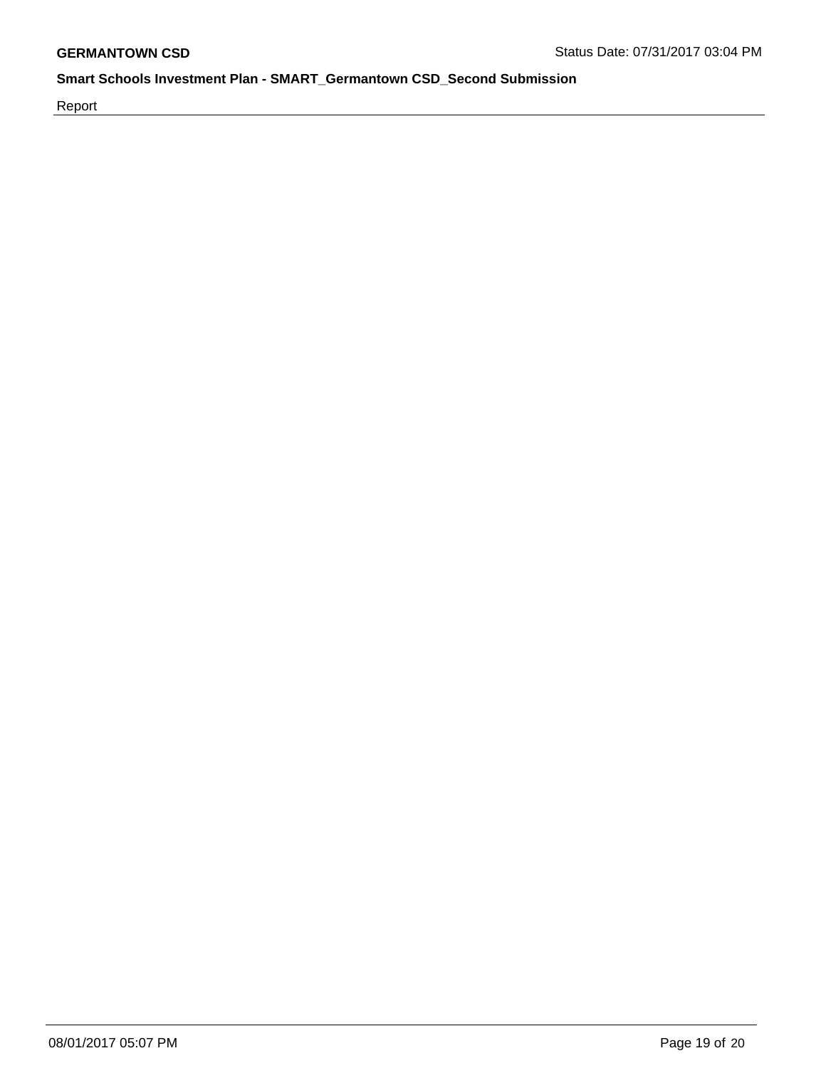Report